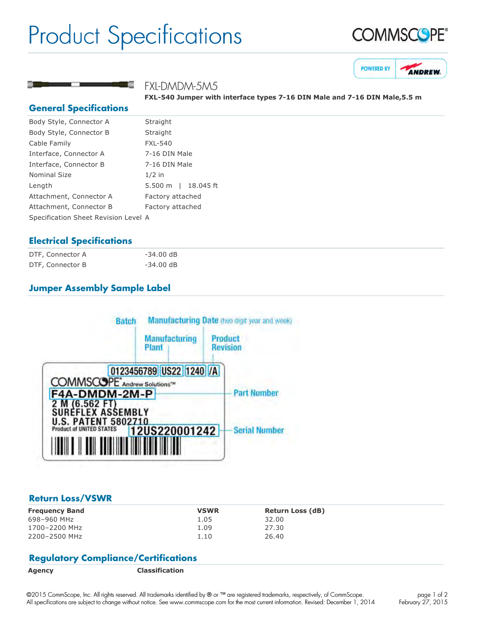# Product Specifications





# FXL-DMDM-5M5

**FXL540 Jumper with interface types 716 DIN Male and 716 DIN Male,5.5 m**

### **General Specifications**

| Body Style, Connector A              | Straight            |  |
|--------------------------------------|---------------------|--|
| Body Style, Connector B              | Straight            |  |
| Cable Family                         | <b>FXL-540</b>      |  |
| Interface, Connector A               | 7-16 DIN Male       |  |
| Interface, Connector B               | 7-16 DIN Male       |  |
| <b>Nominal Size</b>                  | $1/2$ in            |  |
| Length                               | 5.500 m   18.045 ft |  |
| Attachment, Connector A              | Factory attached    |  |
| Attachment, Connector B              | Factory attached    |  |
| Specification Sheet Revision Level A |                     |  |
|                                      |                     |  |

# **Electrical Specifications**

| DTF, Connector A | $-34.00$ dB |
|------------------|-------------|
| DTF, Connector B | $-34.00$ dB |

# **Jumper Assembly Sample Label**



### **Return Loss/VSWR**

| <b>VSWR</b> | <b>Return Loss (dB)</b> |
|-------------|-------------------------|
| 1.05        | 32.00                   |
| 1.09        | 27.30                   |
| 1.10        | 26.40                   |
|             |                         |

# **Regulatory Compliance/Certifications**

**Agency Classification**